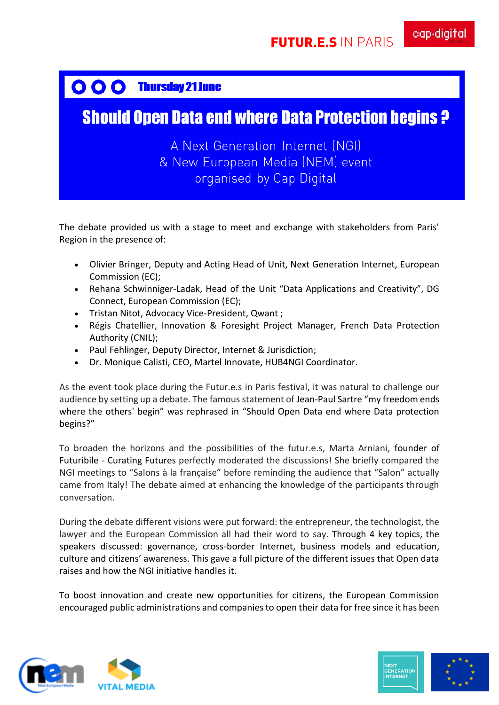## OOO Thursday 21 June

## **Should Open Data end where Data Protection begins ?**

## A Next Generation Internet (NGI) & New European Media (NEM) event organised by Cap Digital

The debate provided us with a stage to meet and exchange with stakeholders from Paris' Region in the presence of:

- Olivier Bringer, Deputy and Acting Head of Unit, Next Generation Internet, European Commission (EC);
- Rehana Schwinniger-Ladak, Head of the Unit "Data Applications and Creativity", DG Connect, European Commission (EC);
- Tristan Nitot, Advocacy Vice-President, Qwant ;
- Régis Chatellier, Innovation & Foresight Project Manager, French Data Protection Authority (CNIL);
- Paul Fehlinger, Deputy Director, Internet & Jurisdiction;
- Dr. Monique Calisti, CEO, Martel Innovate, HUB4NGI Coordinator.

As the event took place during the Futur.e.s in Paris festival, it was natural to challenge our audience by setting up a debate. The famous statement of Jean-Paul Sartre "my freedom ends where the others' begin" was rephrased in "Should Open Data end where Data protection begins?"

To broaden the horizons and the possibilities of the futur.e.s, Marta Arniani, founder of Futuribile - Curating Futures perfectly moderated the discussions! She briefly compared the NGI meetings to "Salons à la française" before reminding the audience that "Salon" actually came from Italy! The debate aimed at enhancing the knowledge of the participants through conversation.

During the debate different visions were put forward: the entrepreneur, the technologist, the lawyer and the European Commission all had their word to say. Through 4 key topics, the speakers discussed: governance, cross-border Internet, business models and education, culture and citizens' awareness. This gave a full picture of the different issues that Open data raises and how the NGI initiative handles it.

To boost innovation and create new opportunities for citizens, the European Commission encouraged public administrations and companies to open their data for free since it has been